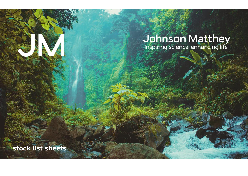# **Johnson Matthey**<br>Inspiring science, enhancing life

**stock list sheets**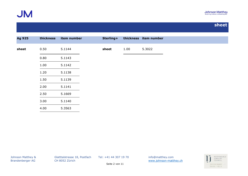

| <b>Ag 925</b> | thickness | item number | Sterling+ |      | thickness item number |
|---------------|-----------|-------------|-----------|------|-----------------------|
| sheet         | 0.50      | 5.1144      | sheet     | 1.00 | 5.3022                |
|               | 0.80      | 5.1143      |           |      |                       |
|               | 1.00      | 5.1142      |           |      |                       |
|               | 1.20      | 5.1138      |           |      |                       |
|               | 1.50      | 5.1139      |           |      |                       |
|               | 2.00      | 5.1141      |           |      |                       |
|               | 2.50      | 5.1669      |           |      |                       |
|               | 3.00      | 5.1140      |           |      |                       |
|               | 4.00      | 5.3563      |           |      |                       |

Johnson Matthey & Glatttalstrasse 18, Postfach Tel: +41 44 307 19 70 info@matthey.com

Brandenberger AG CH 8052 Zürich [www.johnson-matthey.ch](http://www.johnson-matthey.c/)

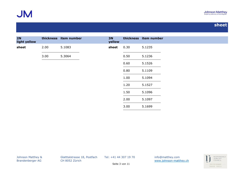

| 2N<br>light yellow |      | thickness item number | <b>3N</b><br>yellow |      | thickness item number |
|--------------------|------|-----------------------|---------------------|------|-----------------------|
| sheet              | 2.00 | 5.1083                | sheet               | 0.30 | 5.1235                |
|                    | 3.00 | 5.3064                |                     | 0.50 | 5.1236                |
|                    |      |                       |                     | 0.60 | 5.1526                |
|                    |      |                       |                     | 0.80 | 5.1109                |
|                    |      |                       |                     | 1.00 | 5.1094                |
|                    |      |                       |                     | 1.20 | 5.1527                |
|                    |      |                       |                     | 1.50 | 5.1096                |
|                    |      |                       |                     | 2.00 | 5.1097                |
|                    |      |                       |                     | 3.00 | 5.1699                |

Johnson Matthey & Glatttalstrasse 18, Postfach Tel: +41 44 307 19 70 info@matthey.com

Brandenberger AG CH 8052 Zürich [www.johnson-matthey.ch](http://www.johnson-matthey.c/)



Seite 3 von 11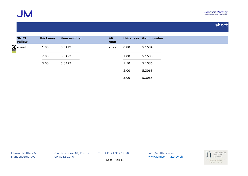

| <b>3N FT</b><br>yellow | thickness | item number | <b>4N</b><br>rose |      | thickness item number |
|------------------------|-----------|-------------|-------------------|------|-----------------------|
| Sheet                  | 1.00      | 5.3419      | sheet             | 0.80 | 5.1584                |
|                        | 2.00      | 5.3422      |                   | 1.00 | 5.1585                |
|                        | 3.00      | 5.3423      |                   | 1.50 | 5.1586                |
|                        |           |             |                   | 2.00 | 5.3065                |
|                        |           |             |                   | 3.00 | 5.3066                |

Johnson Matthey & Glatttalstrasse 18, Postfach Tel: +41 44 307 19 70 info@matthey.com

Brandenberger AG CH 8052 Zürich WWW.johnson-matthey.ch

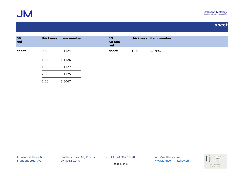

| <b>5N</b><br>red |      | thickness item number | <b>5N</b><br><b>Au 585</b><br>red |      | thickness item number |
|------------------|------|-----------------------|-----------------------------------|------|-----------------------|
| sheet            | 0.80 | 5.1124                | sheet                             | 1.00 | 5.1996                |
|                  | 1.00 | 5.1126                |                                   |      |                       |
|                  | 1.50 | 5.1127                |                                   |      |                       |
|                  | 2.00 | 5.1125                |                                   |      |                       |
|                  | 3.00 | 5.3067                |                                   |      |                       |

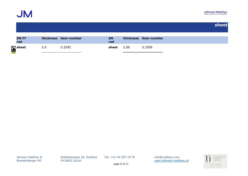

| <b>5N FT</b><br>red | thickness item number | <b>6N</b><br>red |      | thickness item number |
|---------------------|-----------------------|------------------|------|-----------------------|
| Sheet               | 5.3292                | sheet            | 2.00 | 5.3309                |

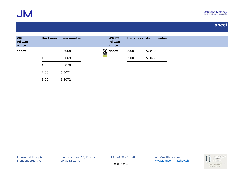

| <b>WG</b><br><b>Pd 120</b><br>white |      | thickness item number | <b>WG FT</b><br><b>Pd 130</b><br>white |      | thickness item number |  |
|-------------------------------------|------|-----------------------|----------------------------------------|------|-----------------------|--|
| sheet                               | 0.80 | 5.3068                | <b>Sheet</b>                           | 2.00 | 5.3435                |  |
|                                     | 1.00 | 5.3069                |                                        | 3.00 | 5.3436                |  |
|                                     | 1.50 | 5.3070                |                                        |      |                       |  |
|                                     | 2.00 | 5.3071                |                                        |      |                       |  |
|                                     | 3.00 | 5.3072                |                                        |      |                       |  |

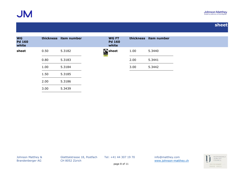

| <b>WG</b><br><b>Pd 160</b><br>white |      | thickness item number | <b>WG FT</b><br><b>Pd 160</b><br>white |      | thickness item number |  |  |
|-------------------------------------|------|-----------------------|----------------------------------------|------|-----------------------|--|--|
| sheet                               | 0.50 | 5.3182                | Sheet                                  | 1.00 | 5.3440                |  |  |
|                                     | 0.80 | 5.3183                |                                        | 2.00 | 5.3441                |  |  |
|                                     | 1.00 | 5.3184                |                                        | 3.00 | 5.3442                |  |  |
|                                     | 1.50 | 5.3185                |                                        |      |                       |  |  |
|                                     | 2.00 | 5.3186                |                                        |      |                       |  |  |
|                                     | 3.00 | 5.3439                |                                        |      |                       |  |  |

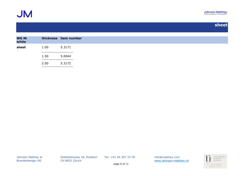

| <b>WG Ni</b><br>white | thickness item number |        |
|-----------------------|-----------------------|--------|
| sheet                 | 1.00                  | 5.3171 |
|                       | 1.50                  | 5.0044 |
|                       | 2.00                  | 5.3172 |

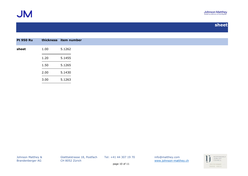

| <b>Pt 950 Ru</b> |      | thickness item number |
|------------------|------|-----------------------|
| sheet            | 1.00 | 5.1262                |
|                  | 1.20 | 5.1455                |
|                  | 1.50 | 5.1265                |
|                  | 2.00 | 5.1430                |
|                  | 3.00 | 5.1263                |